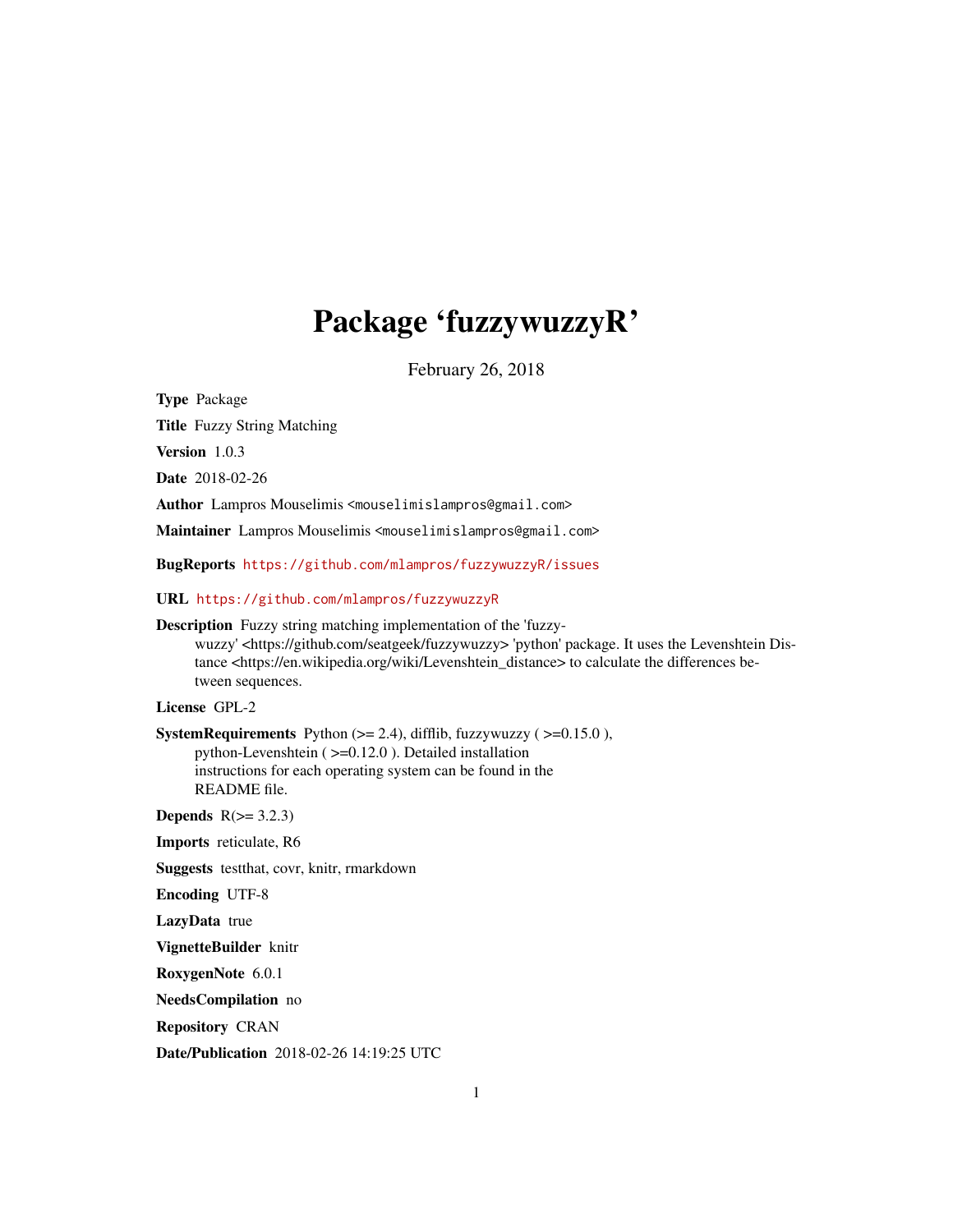# Package 'fuzzywuzzyR'

February 26, 2018

Type Package

Title Fuzzy String Matching

Version 1.0.3

Date 2018-02-26

Author Lampros Mouselimis <mouselimislampros@gmail.com>

Maintainer Lampros Mouselimis <mouselimislampros@gmail.com>

BugReports <https://github.com/mlampros/fuzzywuzzyR/issues>

URL <https://github.com/mlampros/fuzzywuzzyR>

Description Fuzzy string matching implementation of the 'fuzzywuzzy' <https://github.com/seatgeek/fuzzywuzzy> 'python' package. It uses the Levenshtein Distance <https://en.wikipedia.org/wiki/Levenshtein\_distance> to calculate the differences between sequences.

License GPL-2

SystemRequirements Python  $(>= 2.4)$ , difflib, fuzzywuzzy  $(>= 0.15.0)$ , python-Levenshtein ( >=0.12.0 ). Detailed installation instructions for each operating system can be found in the README file.

**Depends**  $R$ ( $> = 3.2.3$ )

Imports reticulate, R6

Suggests testthat, covr, knitr, rmarkdown

Encoding UTF-8

LazyData true

VignetteBuilder knitr

RoxygenNote 6.0.1

NeedsCompilation no

Repository CRAN

Date/Publication 2018-02-26 14:19:25 UTC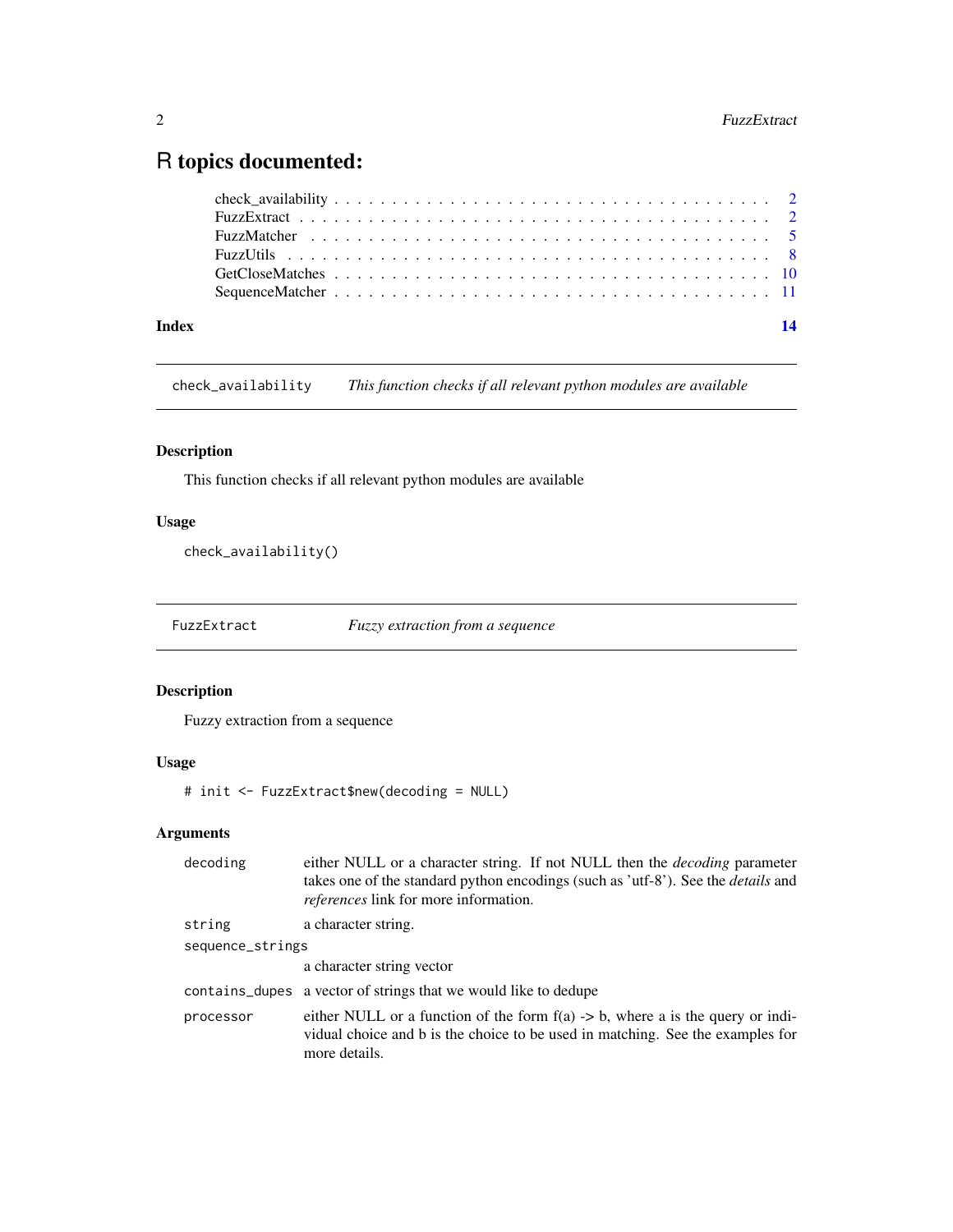## <span id="page-1-0"></span>R topics documented:

| Index | $\overline{14}$ |  |
|-------|-----------------|--|
|       |                 |  |
|       |                 |  |
|       |                 |  |
|       |                 |  |
|       |                 |  |
|       |                 |  |

check\_availability *This function checks if all relevant python modules are available*

#### Description

This function checks if all relevant python modules are available

#### Usage

check\_availability()

FuzzExtract *Fuzzy extraction from a sequence*

#### Description

Fuzzy extraction from a sequence

### Usage

# init <- FuzzExtract\$new(decoding = NULL)

#### Arguments

| decoding         | either NULL or a character string. If not NULL then the <i>decoding</i> parameter<br>takes one of the standard python encodings (such as 'utf-8'). See the <i>details</i> and<br><i>references</i> link for more information. |
|------------------|-------------------------------------------------------------------------------------------------------------------------------------------------------------------------------------------------------------------------------|
| string           | a character string.                                                                                                                                                                                                           |
| sequence_strings |                                                                                                                                                                                                                               |
|                  | a character string vector                                                                                                                                                                                                     |
|                  | contains_dupes a vector of strings that we would like to dedupe                                                                                                                                                               |
| processor        | either NULL or a function of the form $f(a) > b$ , where a is the query or indi-<br>vidual choice and b is the choice to be used in matching. See the examples for<br>more details.                                           |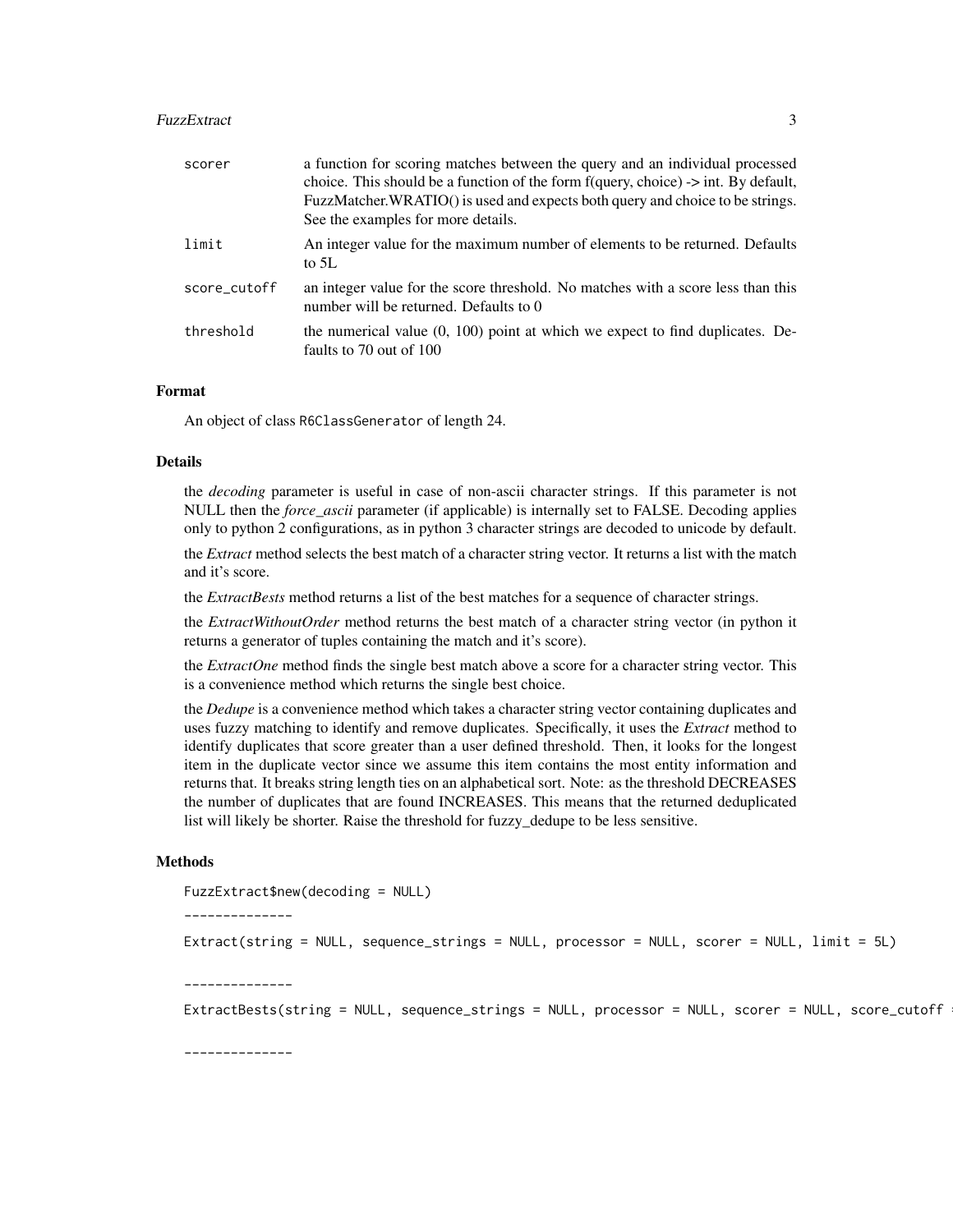#### FuzzExtract 3

| scorer       | a function for scoring matches between the query and an individual processed<br>choice. This should be a function of the form $f(query, choice) \rightarrow int$ . By default,<br>FuzzMatcher.WRATIO() is used and expects both query and choice to be strings.<br>See the examples for more details. |
|--------------|-------------------------------------------------------------------------------------------------------------------------------------------------------------------------------------------------------------------------------------------------------------------------------------------------------|
| limit        | An integer value for the maximum number of elements to be returned. Defaults<br>to $5L$                                                                                                                                                                                                               |
| score_cutoff | an integer value for the score threshold. No matches with a score less than this<br>number will be returned. Defaults to 0                                                                                                                                                                            |
| threshold    | the numerical value (0, 100) point at which we expect to find duplicates. De-<br>faults to 70 out of 100                                                                                                                                                                                              |

#### Format

An object of class R6ClassGenerator of length 24.

#### Details

the *decoding* parameter is useful in case of non-ascii character strings. If this parameter is not NULL then the *force\_ascii* parameter (if applicable) is internally set to FALSE. Decoding applies only to python 2 configurations, as in python 3 character strings are decoded to unicode by default.

the *Extract* method selects the best match of a character string vector. It returns a list with the match and it's score.

the *ExtractBests* method returns a list of the best matches for a sequence of character strings.

the *ExtractWithoutOrder* method returns the best match of a character string vector (in python it returns a generator of tuples containing the match and it's score).

the *ExtractOne* method finds the single best match above a score for a character string vector. This is a convenience method which returns the single best choice.

the *Dedupe* is a convenience method which takes a character string vector containing duplicates and uses fuzzy matching to identify and remove duplicates. Specifically, it uses the *Extract* method to identify duplicates that score greater than a user defined threshold. Then, it looks for the longest item in the duplicate vector since we assume this item contains the most entity information and returns that. It breaks string length ties on an alphabetical sort. Note: as the threshold DECREASES the number of duplicates that are found INCREASES. This means that the returned deduplicated list will likely be shorter. Raise the threshold for fuzzy\_dedupe to be less sensitive.

#### Methods

FuzzExtract\$new(decoding = NULL)

--------------

Extract(string = NULL, sequence\_strings = NULL, processor = NULL, scorer = NULL, limit = 5L)

--------------

ExtractBests(string = NULL, sequence\_strings = NULL, processor = NULL, scorer = NULL, score\_cutoff

--------------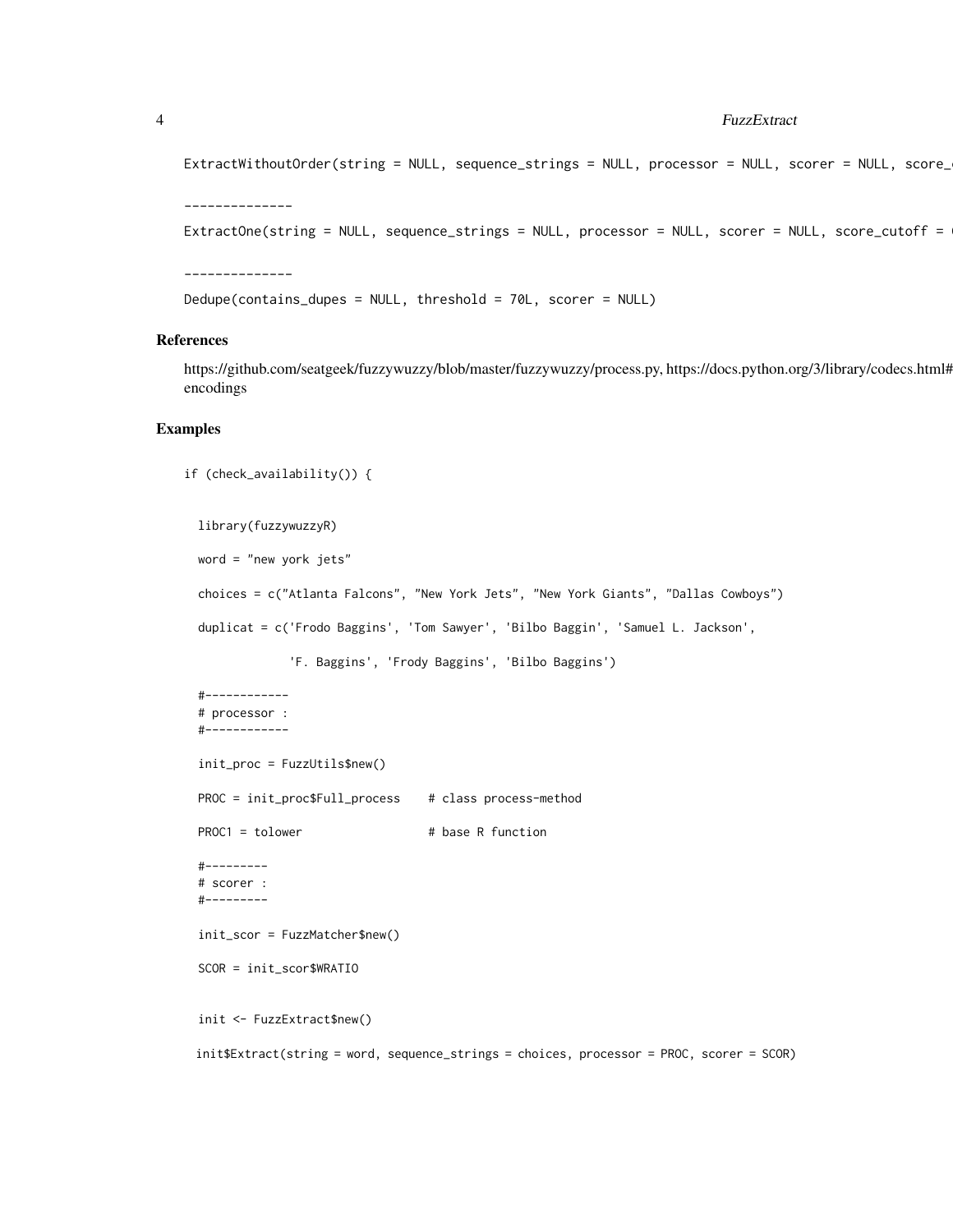```
ExtractWithoutOrder(string = NULL, sequence_strings = NULL, processor = NULL, scorer = NULL, score_
```
--------------

```
ExtractOne(string = NULL, sequence_strings = NULL, processor = NULL, scorer = NULL, score_cutoff =
```
--------------

Dedupe(contains\_dupes = NULL, threshold = 70L, scorer = NULL)

#### References

https://github.com/seatgeek/fuzzywuzzy/blob/master/fuzzywuzzy/process.py, https://docs.python.org/3/library/codecs.html# encodings

#### Examples

```
if (check_availability()) {
```
library(fuzzywuzzyR) word = "new york jets" choices = c("Atlanta Falcons", "New York Jets", "New York Giants", "Dallas Cowboys") duplicat = c('Frodo Baggins', 'Tom Sawyer', 'Bilbo Baggin', 'Samuel L. Jackson',

'F. Baggins', 'Frody Baggins', 'Bilbo Baggins')

```
#------------
# processor :
#------------
```

```
init_proc = FuzzUtils$new()
```
PROC = init\_proc\$Full\_process # class process-method

PROC1 = tolower # base R function

```
#---------
# scorer :
#---------
```
init\_scor = FuzzMatcher\$new()

SCOR = init\_scor\$WRATIO

```
init <- FuzzExtract$new()
```
init\$Extract(string = word, sequence\_strings = choices, processor = PROC, scorer = SCOR)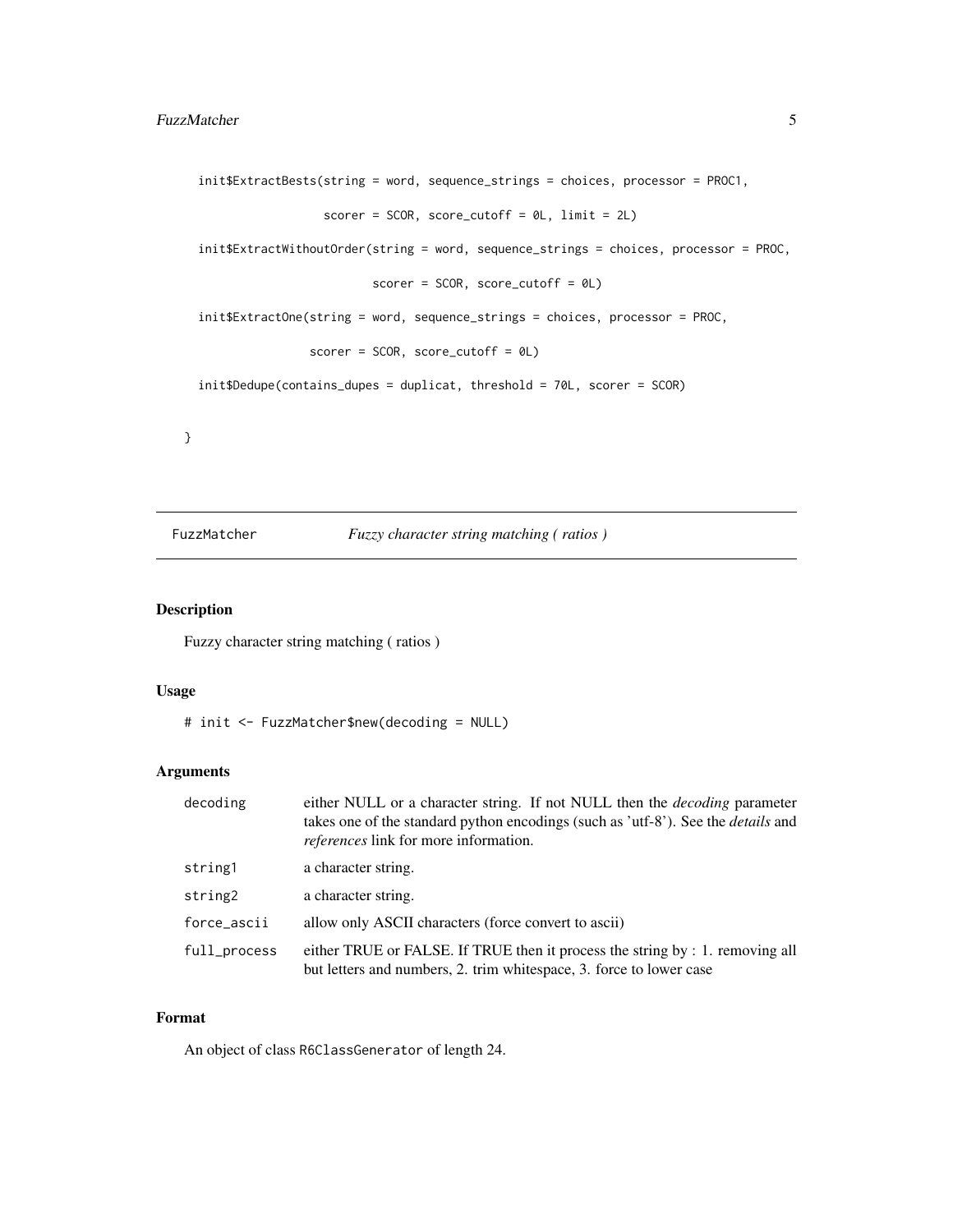```
init$ExtractBests(string = word, sequence_strings = choices, processor = PROC1,
                  score = SCOR, score_cutoff = 0L, limit = 2L)
init$ExtractWithoutOrder(string = word, sequence_strings = choices, processor = PROC,
                         scorer = SCOR, score_cutoff = 0L)
init$ExtractOne(string = word, sequence_strings = choices, processor = PROC,
                scorer = SCOR, score_cutoff = 0L)
init$Dedupe(contains_dupes = duplicat, threshold = 70L, scorer = SCOR)
```
FuzzMatcher *Fuzzy character string matching ( ratios )*

#### Description

}

Fuzzy character string matching ( ratios )

#### Usage

# init <- FuzzMatcher\$new(decoding = NULL)

#### Arguments

| decoding     | either NULL or a character string. If not NULL then the <i>decoding</i> parameter<br>takes one of the standard python encodings (such as 'utf-8'). See the <i>details</i> and<br>references link for more information. |
|--------------|------------------------------------------------------------------------------------------------------------------------------------------------------------------------------------------------------------------------|
| string1      | a character string.                                                                                                                                                                                                    |
| string2      | a character string.                                                                                                                                                                                                    |
| force_ascii  | allow only ASCII characters (force convert to ascii)                                                                                                                                                                   |
| full_process | either TRUE or FALSE. If TRUE then it process the string by : 1. removing all<br>but letters and numbers, 2. trim whitespace, 3. force to lower case                                                                   |

#### Format

An object of class R6ClassGenerator of length 24.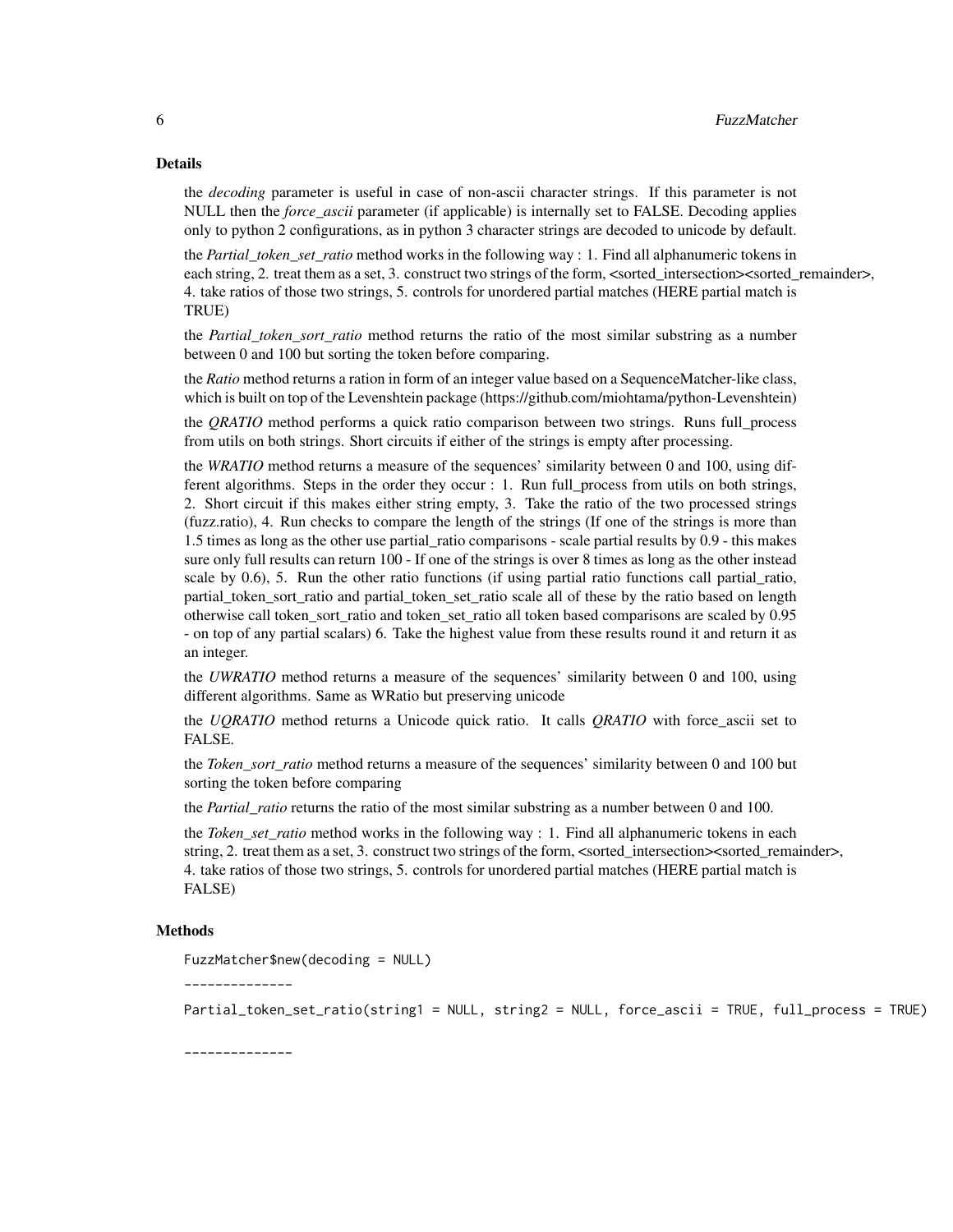#### Details

the *decoding* parameter is useful in case of non-ascii character strings. If this parameter is not NULL then the *force\_ascii* parameter (if applicable) is internally set to FALSE. Decoding applies only to python 2 configurations, as in python 3 character strings are decoded to unicode by default.

the *Partial\_token\_set\_ratio* method works in the following way : 1. Find all alphanumeric tokens in each string, 2. treat them as a set, 3. construct two strings of the form, <sorted\_intersection><sorted\_remainder>, 4. take ratios of those two strings, 5. controls for unordered partial matches (HERE partial match is TRUE)

the *Partial\_token\_sort\_ratio* method returns the ratio of the most similar substring as a number between 0 and 100 but sorting the token before comparing.

the *Ratio* method returns a ration in form of an integer value based on a SequenceMatcher-like class, which is built on top of the Levenshtein package (https://github.com/miohtama/python-Levenshtein)

the *QRATIO* method performs a quick ratio comparison between two strings. Runs full\_process from utils on both strings. Short circuits if either of the strings is empty after processing.

the *WRATIO* method returns a measure of the sequences' similarity between 0 and 100, using different algorithms. Steps in the order they occur : 1. Run full\_process from utils on both strings, 2. Short circuit if this makes either string empty, 3. Take the ratio of the two processed strings (fuzz.ratio), 4. Run checks to compare the length of the strings (If one of the strings is more than 1.5 times as long as the other use partial\_ratio comparisons - scale partial results by 0.9 - this makes sure only full results can return 100 - If one of the strings is over 8 times as long as the other instead scale by 0.6), 5. Run the other ratio functions (if using partial ratio functions call partial\_ratio, partial\_token\_sort\_ratio and partial\_token\_set\_ratio scale all of these by the ratio based on length otherwise call token\_sort\_ratio and token\_set\_ratio all token based comparisons are scaled by 0.95 - on top of any partial scalars) 6. Take the highest value from these results round it and return it as an integer.

the *UWRATIO* method returns a measure of the sequences' similarity between 0 and 100, using different algorithms. Same as WRatio but preserving unicode

the *UQRATIO* method returns a Unicode quick ratio. It calls *QRATIO* with force\_ascii set to FALSE.

the *Token\_sort\_ratio* method returns a measure of the sequences' similarity between 0 and 100 but sorting the token before comparing

the *Partial\_ratio* returns the ratio of the most similar substring as a number between 0 and 100.

the *Token set ratio* method works in the following way : 1. Find all alphanumeric tokens in each string, 2. treat them as a set, 3. construct two strings of the form, <sorted\_intersection><sorted\_remainder>, 4. take ratios of those two strings, 5. controls for unordered partial matches (HERE partial match is FALSE)

#### Methods

FuzzMatcher\$new(decoding = NULL)

--------------

Partial\_token\_set\_ratio(string1 = NULL, string2 = NULL, force\_ascii = TRUE, full\_process = TRUE)

--------------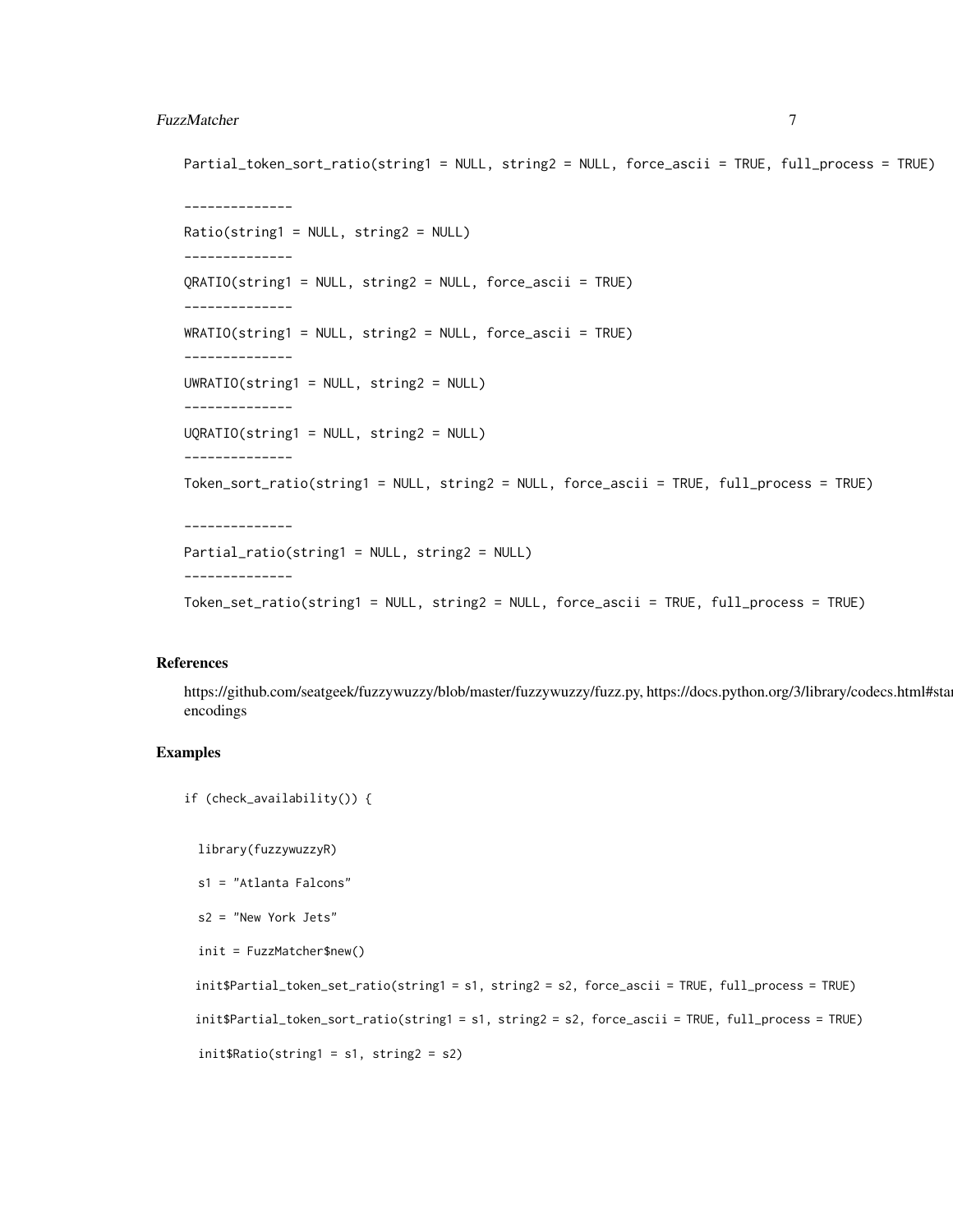#### FuzzMatcher 7

```
Partial_token_sort_ratio(string1 = NULL, string2 = NULL, force_ascii = TRUE, full_process = TRUE)
```

```
--------------
Ratio(string1 = NULL, string2 = NULL)
--------------
QRATIO(string1 = NULL, string2 = NULL, force_ascii = TRUE)
--------------
WRATIO(string1 = NULL, string2 = NULL, force_ascii = TRUE)
--------------
UWRATIO(string1 = NULL, string2 = NULL)
--------------
UQRATIO(string1 = NULL, string2 = NULL)
--------------
Token_sort_ratio(string1 = NULL, string2 = NULL, force_ascii = TRUE, full_process = TRUE)
--------------
Partial_ratio(string1 = NULL, string2 = NULL)
--------------
Token_set_ratio(string1 = NULL, string2 = NULL, force_ascii = TRUE, full_process = TRUE)
```
#### References

https://github.com/seatgeek/fuzzywuzzy/blob/master/fuzzywuzzy/fuzz.py, https://docs.python.org/3/library/codecs.html#sta encodings

#### Examples

```
if (check_availability()) {
```
library(fuzzywuzzyR)

```
s1 = "Atlanta Falcons"
```

```
s2 = "New York Jets"
```
init = FuzzMatcher\$new()

```
init$Partial_token_set_ratio(string1 = s1, string2 = s2, force_ascii = TRUE, full_process = TRUE)
init$Partial_token_sort_ratio(string1 = s1, string2 = s2, force_ascii = TRUE, full_process = TRUE)
init$Ratio(string1 = s1, string2 = s2)
```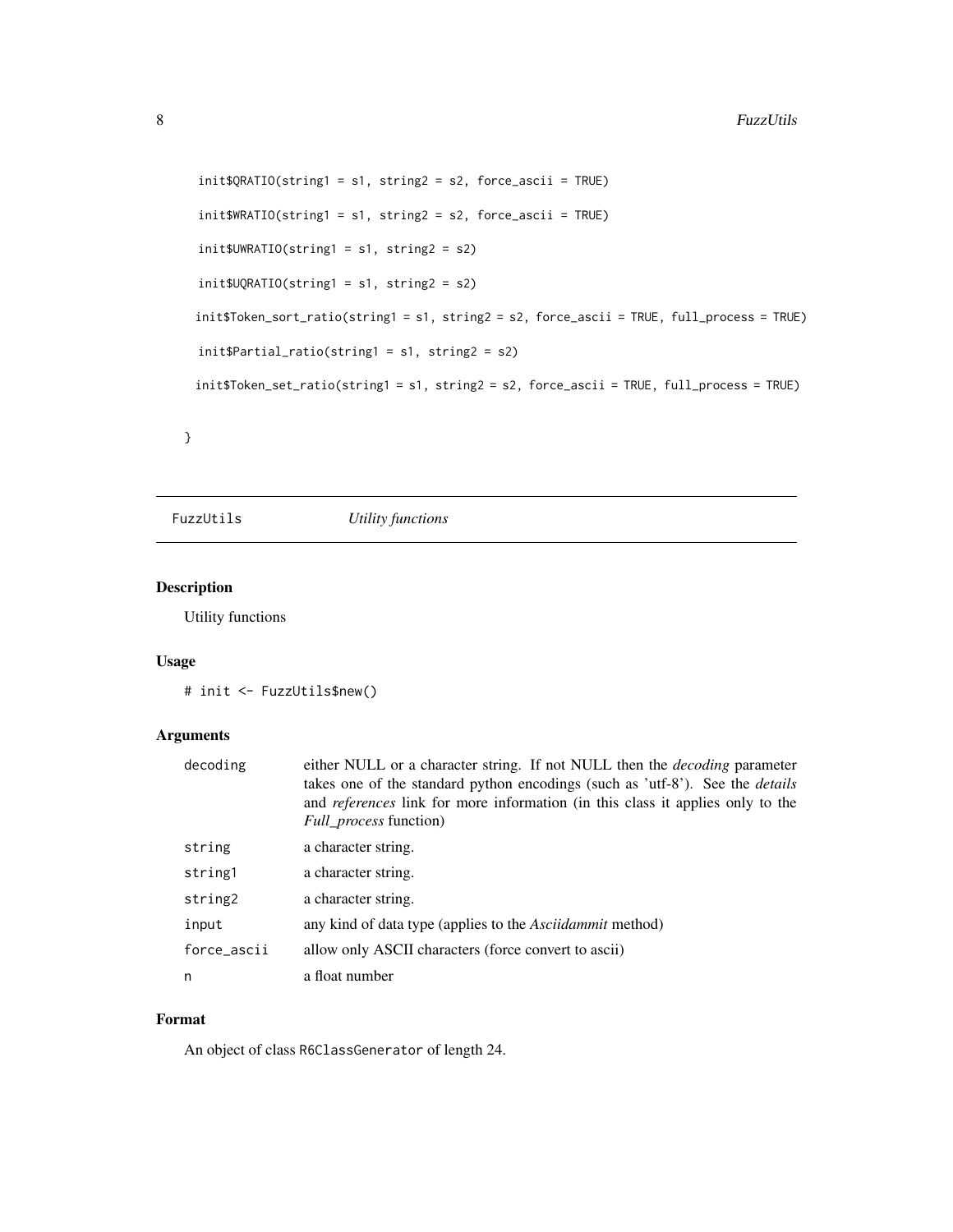```
init$QRATIO(string1 = s1, string2 = s2, force_ascii = TRUE)
init$WRATIO(string1 = s1, string2 = s2, force_ascii = TRUE)
init$UWRATIO(String1 = s1, string2 = s2)init$UQRATIO(string1 = s1, string2 = s2)
init$Token_sort_ratio(string1 = s1, string2 = s2, force_ascii = TRUE, full_process = TRUE)
init$Partial_ratio(string1 = s1, string2 = s2)
init$Token_set_ratio(string1 = s1, string2 = s2, force_ascii = TRUE, full_process = TRUE)
```
}

FuzzUtils *Utility functions*

#### Description

Utility functions

#### Usage

# init <- FuzzUtils\$new()

#### Arguments

| decoding    | either NULL or a character string. If not NULL then the <i>decoding</i> parameter<br>takes one of the standard python encodings (such as 'utf-8'). See the <i>details</i><br>and <i>references</i> link for more information (in this class it applies only to the<br><i>Full_process function</i> ) |
|-------------|------------------------------------------------------------------------------------------------------------------------------------------------------------------------------------------------------------------------------------------------------------------------------------------------------|
| string      | a character string.                                                                                                                                                                                                                                                                                  |
| string1     | a character string.                                                                                                                                                                                                                                                                                  |
| string2     | a character string.                                                                                                                                                                                                                                                                                  |
| input       | any kind of data type (applies to the <i>Ascidammit</i> method)                                                                                                                                                                                                                                      |
| force_ascii | allow only ASCII characters (force convert to ascii)                                                                                                                                                                                                                                                 |
| n           | a float number                                                                                                                                                                                                                                                                                       |

#### Format

An object of class R6ClassGenerator of length 24.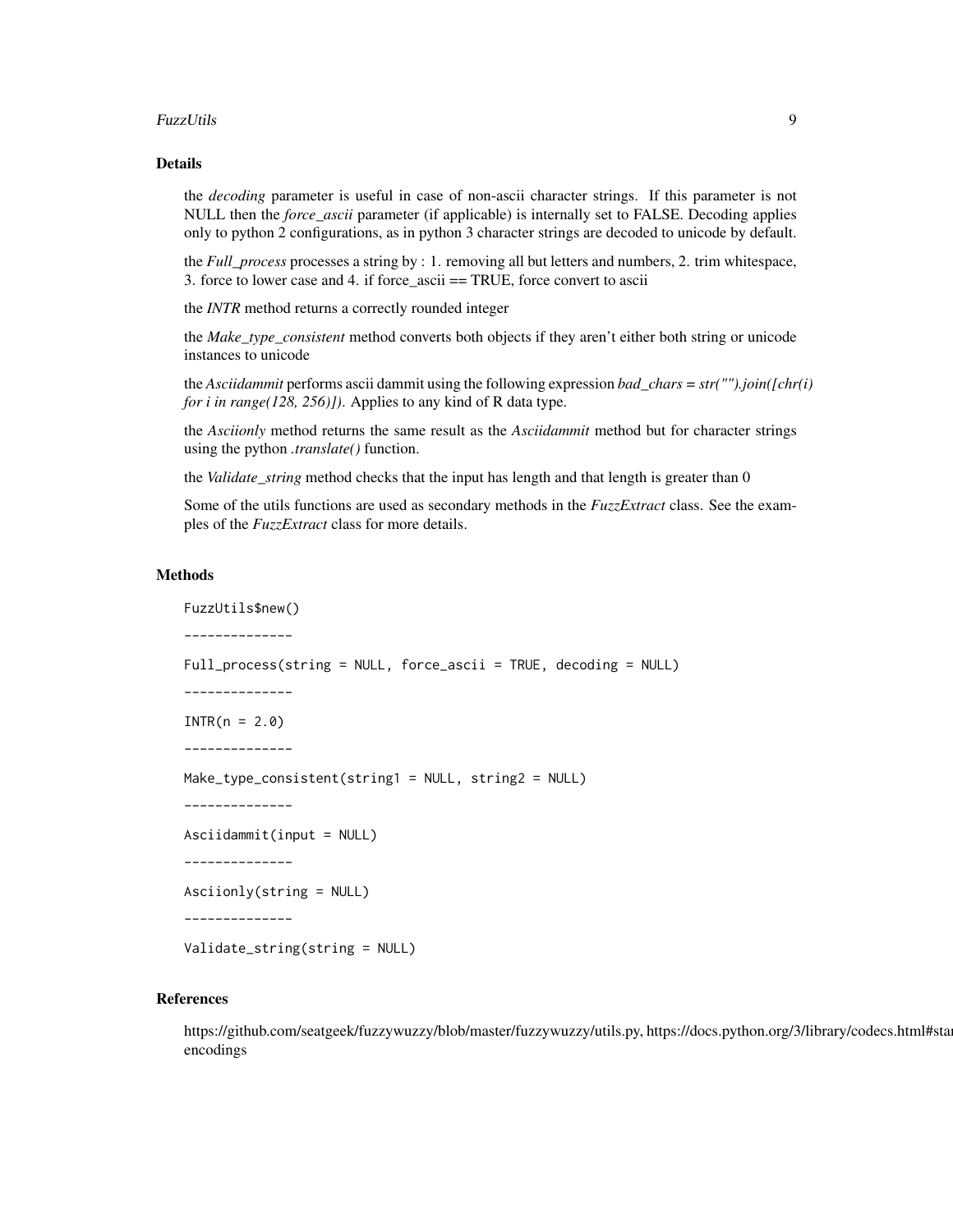#### FuzzUtils 9

#### Details

the *decoding* parameter is useful in case of non-ascii character strings. If this parameter is not NULL then the *force\_ascii* parameter (if applicable) is internally set to FALSE. Decoding applies only to python 2 configurations, as in python 3 character strings are decoded to unicode by default.

the *Full\_process* processes a string by : 1. removing all but letters and numbers, 2. trim whitespace, 3. force to lower case and 4. if force\_ascii == TRUE, force convert to ascii

the *INTR* method returns a correctly rounded integer

the *Make\_type\_consistent* method converts both objects if they aren't either both string or unicode instances to unicode

the *Asciidammit* performs ascii dammit using the following expression *bad\_chars = str("").join([chr(i) for i in range(128, 256)])*. Applies to any kind of R data type.

the *Asciionly* method returns the same result as the *Asciidammit* method but for character strings using the python *.translate()* function.

the *Validate\_string* method checks that the input has length and that length is greater than 0

Some of the utils functions are used as secondary methods in the *FuzzExtract* class. See the examples of the *FuzzExtract* class for more details.

#### Methods

```
FuzzUtils$new()
--------------
Full_process(string = NULL, force_ascii = TRUE, decoding = NULL)
--------------
INTR(n = 2.0)--------------
Make_type_consistent(string1 = NULL, string2 = NULL)
--------------
Asciidammit(input = NULL)
--------------
Asciionly(string = NULL)
--------------
```
#### References

Validate\_string(string = NULL)

https://github.com/seatgeek/fuzzywuzzy/blob/master/fuzzywuzzy/utils.py, https://docs.python.org/3/library/codecs.html#sta encodings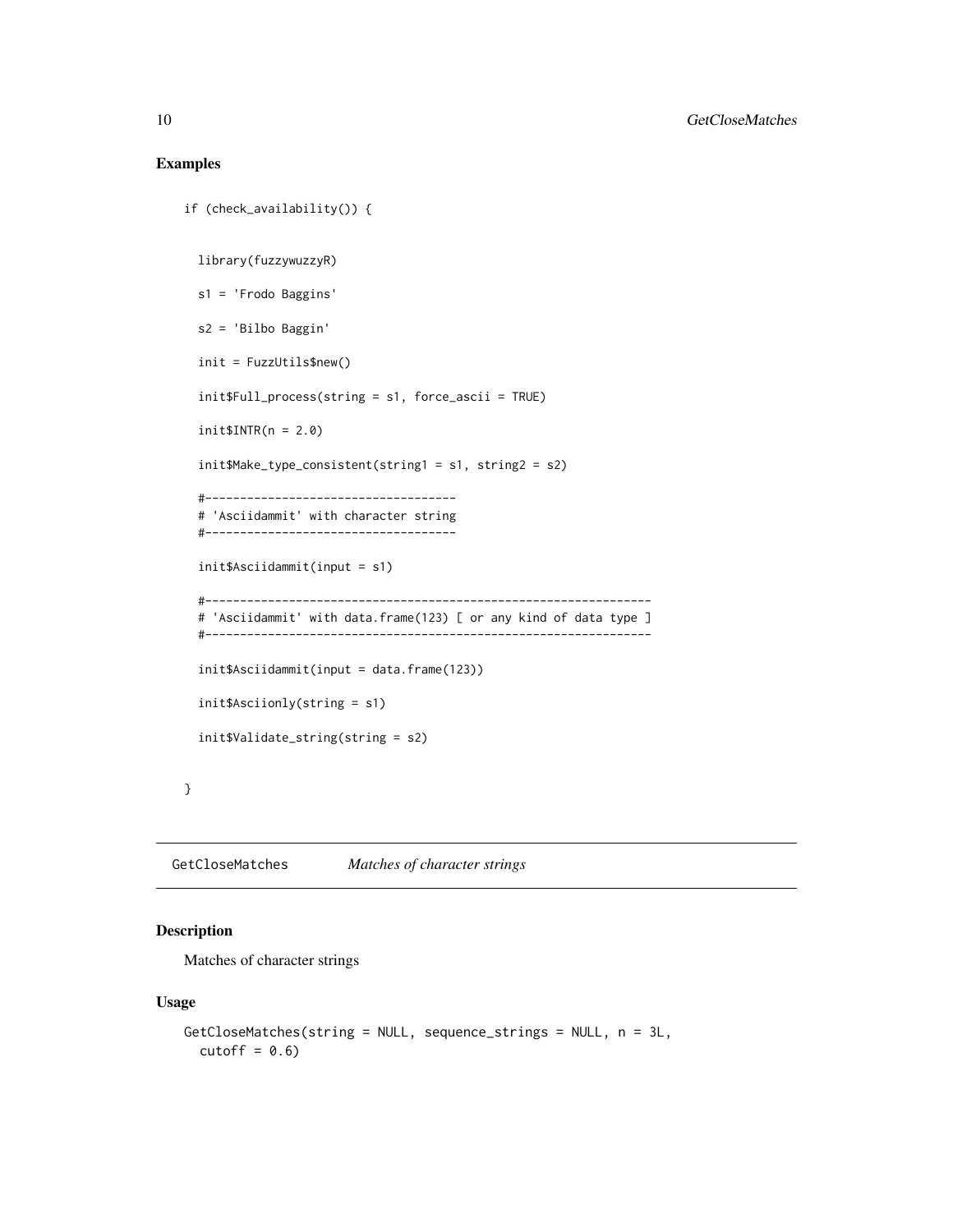#### Examples

```
if (check_availability()) {
 library(fuzzywuzzyR)
 s1 = 'Frodo Baggins'
 s2 = 'Bilbo Baggin'
 init = FuzzUtils$new()
 init$Full_process(string = s1, force_ascii = TRUE)
 init$INTR(n = 2.0)init$Make_type_consistent(string1 = s1, string2 = s2)
 #------------------------------------
 # 'Asciidammit' with character string
 #------------------------------------
 init$Asciidammit(input = s1)
 #----------------------------------------------------------------
 # 'Asciidammit' with data.frame(123) [ or any kind of data type ]
 #----------------------------------------------------------------
 init$Asciidammit(input = data.frame(123))
 init$Asciionly(string = s1)
 init$Validate_string(string = s2)
}
```
GetCloseMatches *Matches of character strings*

#### Description

Matches of character strings

#### Usage

```
GetCloseMatches(string = NULL, sequence_strings = NULL, n = 3L,
  cutoff = 0.6
```
<span id="page-9-0"></span>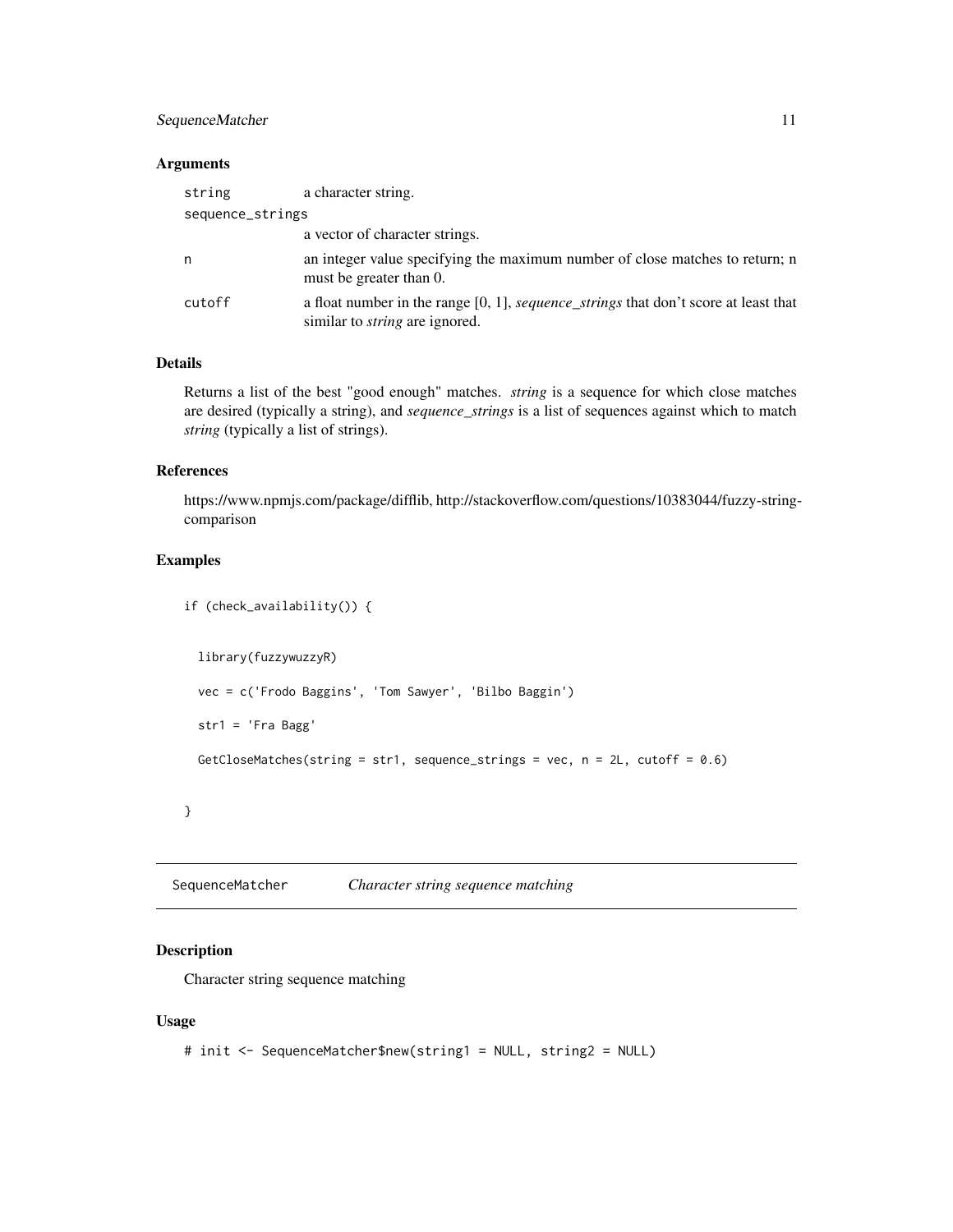#### <span id="page-10-0"></span>SequenceMatcher 11

#### Arguments

| string           | a character string.                                                                                                             |
|------------------|---------------------------------------------------------------------------------------------------------------------------------|
| sequence_strings |                                                                                                                                 |
|                  | a vector of character strings.                                                                                                  |
| n                | an integer value specifying the maximum number of close matches to return; n<br>must be greater than 0.                         |
| cutoff           | a float number in the range $[0, 1]$ , sequence_strings that don't score at least that<br>similar to <i>string</i> are ignored. |

#### Details

Returns a list of the best "good enough" matches. *string* is a sequence for which close matches are desired (typically a string), and *sequence\_strings* is a list of sequences against which to match *string* (typically a list of strings).

#### References

https://www.npmjs.com/package/difflib, http://stackoverflow.com/questions/10383044/fuzzy-stringcomparison

#### Examples

```
if (check_availability()) {
 library(fuzzywuzzyR)
 vec = c('Frodo Baggins', 'Tom Sawyer', 'Bilbo Baggin')
 str1 = 'Fra Bagg'
 GetCloseMatches(string = str1, sequence_strings = vec, n = 2L, cutoff = 0.6)
```
#### }

SequenceMatcher *Character string sequence matching*

#### Description

Character string sequence matching

#### Usage

```
# init <- SequenceMatcher$new(string1 = NULL, string2 = NULL)
```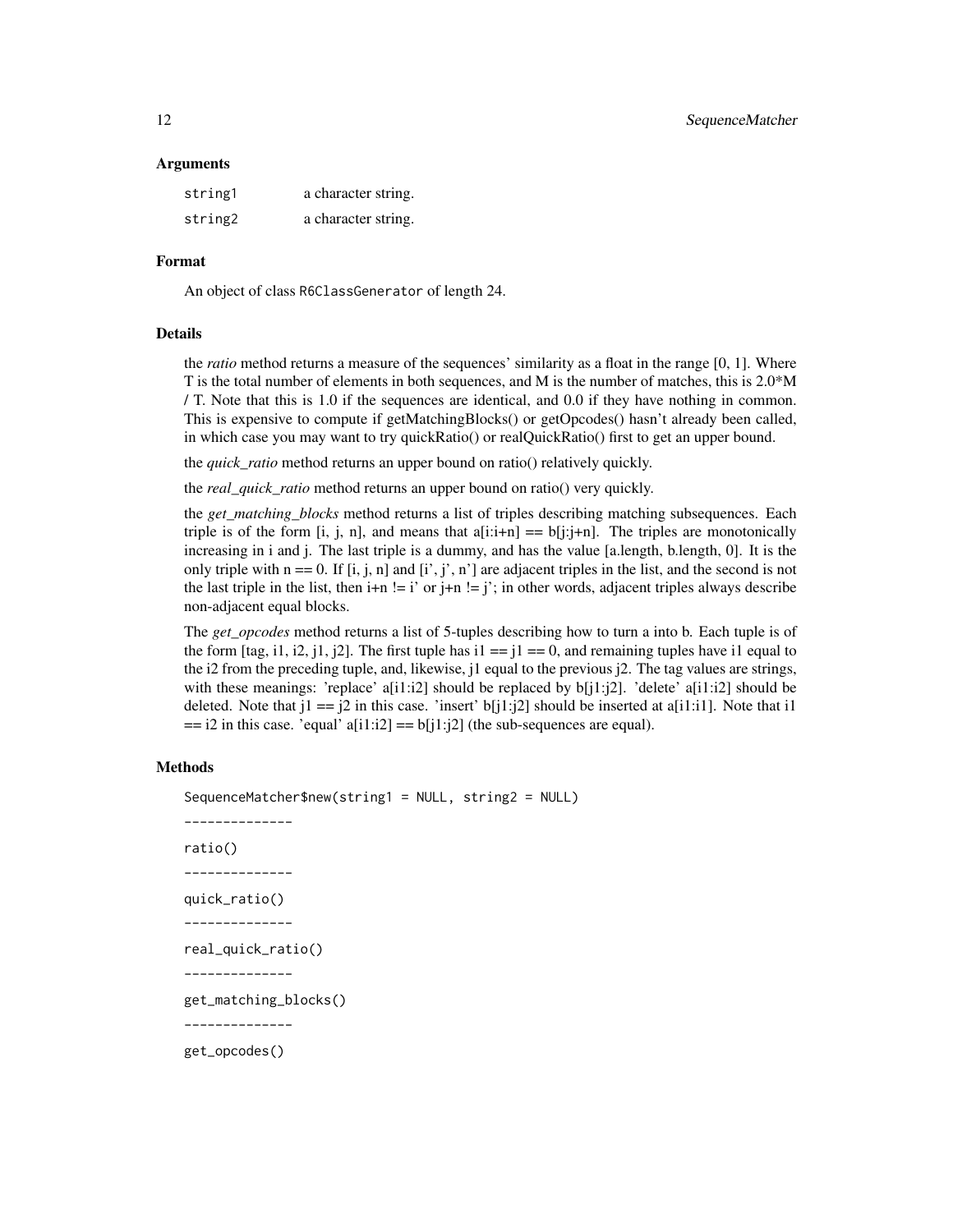#### Arguments

| string1 | a character string. |
|---------|---------------------|
| string2 | a character string. |

#### Format

An object of class R6ClassGenerator of length 24.

#### Details

the *ratio* method returns a measure of the sequences' similarity as a float in the range [0, 1]. Where T is the total number of elements in both sequences, and M is the number of matches, this is 2.0\*M / T. Note that this is 1.0 if the sequences are identical, and 0.0 if they have nothing in common. This is expensive to compute if getMatchingBlocks() or getOpcodes() hasn't already been called, in which case you may want to try quickRatio() or realQuickRatio() first to get an upper bound.

the *quick\_ratio* method returns an upper bound on ratio() relatively quickly.

the *real\_quick\_ratio* method returns an upper bound on ratio() very quickly.

the *get matching blocks* method returns a list of triples describing matching subsequences. Each triple is of the form [i, j, n], and means that  $a[i:i+n] = b[i;i+n]$ . The triples are monotonically increasing in i and j. The last triple is a dummy, and has the value [a.length, b.length, 0]. It is the only triple with  $n = 0$ . If [i, j, n] and [i', j', n'] are adjacent triples in the list, and the second is not the last triple in the list, then  $i+n$  != i' or  $j+n$  != j'; in other words, adjacent triples always describe non-adjacent equal blocks.

The *get\_opcodes* method returns a list of 5-tuples describing how to turn a into b. Each tuple is of the form [tag, i1, i2, j1, j2]. The first tuple has i1 =  $j1 = 0$ , and remaining tuples have i1 equal to the i2 from the preceding tuple, and, likewise, j1 equal to the previous j2. The tag values are strings, with these meanings: 'replace' a[i1:i2] should be replaced by  $b[j1:j2]$ . 'delete' a[i1:i2] should be deleted. Note that  $j1 == j2$  in this case. 'insert'  $b[j1:j2]$  should be inserted at  $a[i1:j1]$ . Note that i1  $== i2$  in this case. 'equal' a[i1:i2]  $== b[j1:j2]$  (the sub-sequences are equal).

#### Methods

SequenceMatcher\$new(string1 = NULL, string2 = NULL)

```
--------------
```
ratio()

```
--------------
```
quick\_ratio()

--------------

real\_quick\_ratio()

--------------

get\_matching\_blocks()

--------------

get\_opcodes()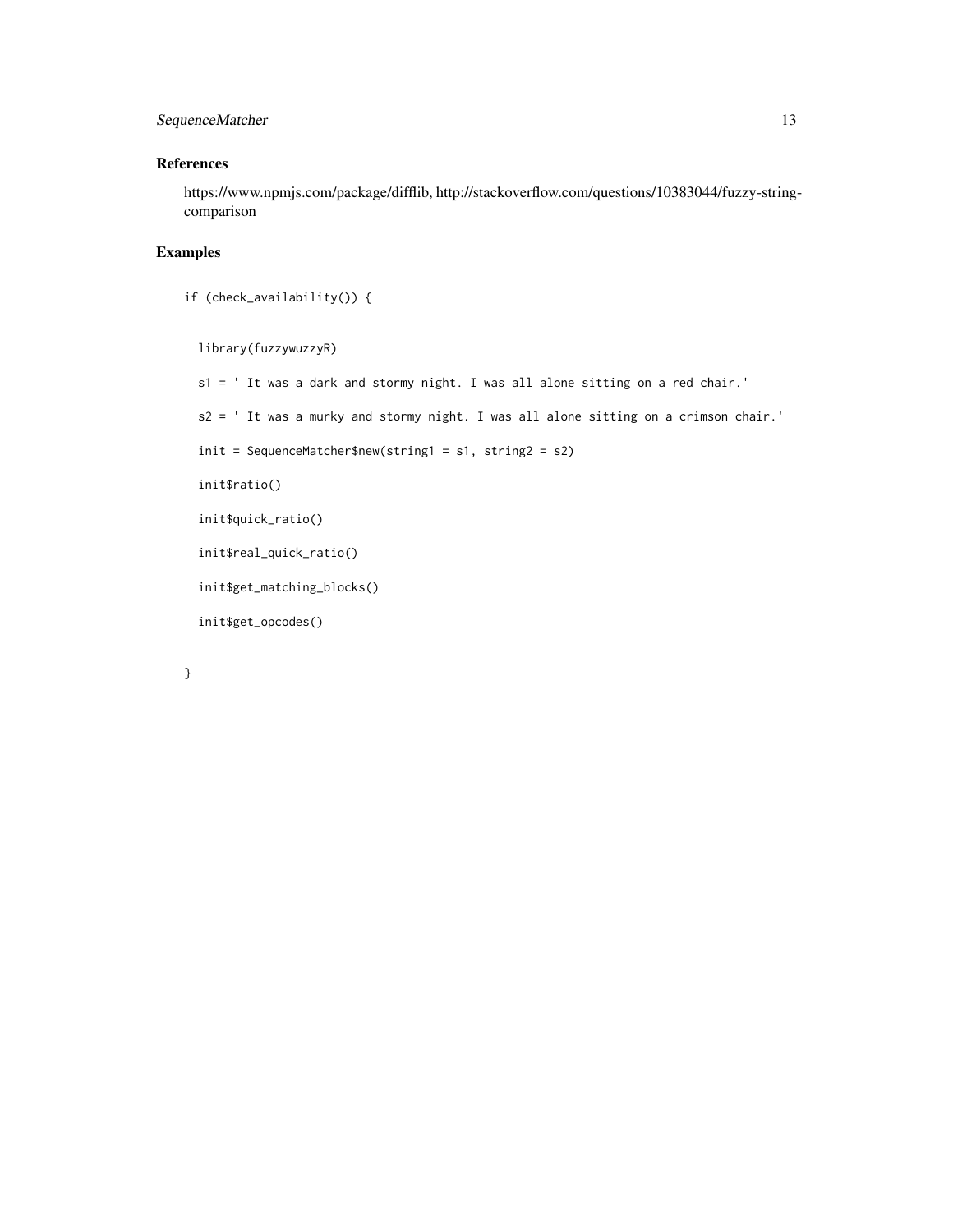#### SequenceMatcher 13

#### References

https://www.npmjs.com/package/difflib, http://stackoverflow.com/questions/10383044/fuzzy-stringcomparison

#### Examples

```
if (check_availability()) {
```
library(fuzzywuzzyR)

s1 = ' It was a dark and stormy night. I was all alone sitting on a red chair.'

s2 = ' It was a murky and stormy night. I was all alone sitting on a crimson chair.'

```
init = SequenceMatcher$new(string1 = s1, string2 = s2)
```
init\$ratio()

```
init$quick_ratio()
```

```
init$real_quick_ratio()
```
init\$get\_matching\_blocks()

init\$get\_opcodes()

| ×      |
|--------|
|        |
|        |
| ٠      |
|        |
| I<br>I |